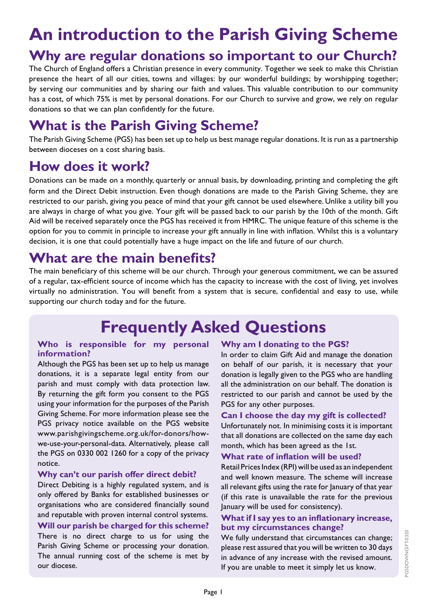# **An introduction to the Parish Giving Scheme**

### **Why are regular donations so important to our Church?**

The Church of England offers a Christian presence in every community. Together we seek to make this Christian presence the heart of all our cities, towns and villages: by our wonderful buildings; by worshipping together; by serving our communities and by sharing our faith and values. This valuable contribution to our community has a cost, of which 75% is met by personal donations. For our Church to survive and grow, we rely on regular donations so that we can plan confidently for the future.

## **What is the Parish Giving Scheme?**

The Parish Giving Scheme (PGS) has been set up to help us best manage regular donations. It is run as a partnership between dioceses on a cost sharing basis.

### **How does it work?**

Donations can be made on a monthly, quarterly or annual basis, by downloading, printing and completing the gift form and the Direct Debit instruction. Even though donations are made to the Parish Giving Scheme, they are restricted to our parish, giving you peace of mind that your gift cannot be used elsewhere. Unlike a utility bill you are always in charge of what you give. Your gift will be passed back to our parish by the 10th of the month. Gift Aid will be received separately once the PGS has received it from HMRC. The unique feature of this scheme is the option for you to commit in principle to increase your gift annually in line with inflation. Whilst this is a voluntary decision, it is one that could potentially have a huge impact on the life and future of our church.

### **What are the main benefits?**

The main beneficiary of this scheme will be our church. Through your generous commitment, we can be assured of a regular, tax-efficient source of income which has the capacity to increase with the cost of living, yet involves virtually no administration. You will benefit from a system that is secure, confidential and easy to use, while supporting our church today and for the future.

## **Frequently Asked Questions**

#### **Who is responsible for my personal information?**

Although the PGS has been set up to help us manage donations, it is a separate legal entity from our parish and must comply with data protection law. By returning the gift form you consent to the PGS using your information for the purposes of the Parish Giving Scheme. For more information please see the PGS privacy notice available on the PGS website www.parishgivingscheme.org.uk/for-donors/howwe-use-your-personal-data. Alternatively, please call the PGS on 0330 002 1260 for a copy of the privacy notice.

#### **Why can't our parish offer direct debit?**

Direct Debiting is a highly regulated system, and is only offered by Banks for established businesses or organisations who are considered financially sound and reputable with proven internal control systems.

### **Will our parish be charged for this scheme?**

There is no direct charge to us for using the Parish Giving Scheme or processing your donation. The annual running cost of the scheme is met by our diocese.

#### **Why am I donating to the PGS?**

In order to claim Gift Aid and manage the donation on behalf of our parish, it is necessary that your donation is legally given to the PGS who are handling all the administration on our behalf. The donation is restricted to our parish and cannot be used by the PGS for any other purposes.

#### **Can I choose the day my gift is collected?**

Unfortunately not. In minimising costs it is important that all donations are collected on the same day each month, which has been agreed as the 1st.

#### **What rate of inflation will be used?**

Retail Prices Index (RPI) will be used as an independent and well known measure. The scheme will increase all relevant gifts using the rate for January of that year (if this rate is unavailable the rate for the previous January will be used for consistency).

#### **What if I say yes to an inflationary increase, but my circumstances change?**

We fully understand that circumstances can change; please rest assured that you will be written to 30 days in advance of any increase with the revised amount. If you are unable to meet it simply let us know.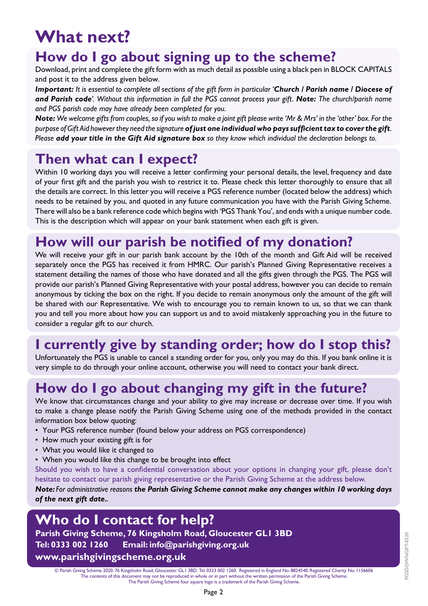# **What next?**

## **How do I go about signing up to the scheme?**

Download, print and complete the gift form with as much detail as possible using a black pen in BLOCK CAPITALS and post it to the address given below.

*Important: It is essential to complete all sections of the gift form in particular 'Church / Parish name / Diocese of and Parish code'. Without this information in full the PGS cannot process your gift. Note: The church/parish name and PGS parish code may have already been completed for you.* 

*Note: We welcome gifts from couples, so if you wish to make a joint gift please write 'Mr & Mrs' in the 'other' box. For the purpose of Gift Aid however they need the signature of just one individual who pays sufficient tax to cover the gift. Please add your title in the Gift Aid signature box so they know which individual the declaration belongs to.*

### **Then what can I expect?**

Within 10 working days you will receive a letter confirming your personal details, the level, frequency and date of your first gift and the parish you wish to restrict it to. Please check this letter thoroughly to ensure that all the details are correct. In this letter you will receive a PGS reference number (located below the address) which needs to be retained by you, and quoted in any future communication you have with the Parish Giving Scheme. There will also be a bank reference code which begins with 'PGS Thank You', and ends with a unique number code. This is the description which will appear on your bank statement when each gift is given.

## **How will our parish be notified of my donation?**

We will receive your gift in our parish bank account by the 10th of the month and Gift Aid will be received separately once the PGS has received it from HMRC. Our parish's Planned Giving Representative receives a statement detailing the names of those who have donated and all the gifts given through the PGS. The PGS will provide our parish's Planned Giving Representative with your postal address, however you can decide to remain anonymous by ticking the box on the right. If you decide to remain anonymous only the amount of the gift will be shared with our Representative. We wish to encourage you to remain known to us, so that we can thank you and tell you more about how you can support us and to avoid mistakenly approaching you in the future to consider a regular gift to our church.

### **I currently give by standing order; how do I stop this?**

Unfortunately the PGS is unable to cancel a standing order for you, only you may do this. If you bank online it is very simple to do through your online account, otherwise you will need to contact your bank direct.

### **How do I go about changing my gift in the future?**

We know that circumstances change and your ability to give may increase or decrease over time. If you wish to make a change please notify the Parish Giving Scheme using one of the methods provided in the contact information box below quoting:

- Your PGS reference number (found below your address on PGS correspondence)
- How much your existing gift is for
- What you would like it changed to
- When you would like this change to be brought into effect

Should you wish to have a confidential conversation about your options in changing your gift, please don't hesitate to contact our parish giving representative or the Parish Giving Scheme at the address below.

*Note: For administrative reasons the Parish Giving Scheme cannot make any changes within 10 working days of the next gift date..*

### **Who do I contact for help?**

**Parish Giving Scheme, 76 Kingsholm Road, Gloucester GL1 3BD Tel: 0333 002 1260 Email: info@parishgiving.org.uk www.parishgivingscheme.org.uk**

© Parish Giving Scheme 2020. 76 Kingsholm Road, Gloucester GL1 3BD. Tel: 0333 002 1260. Registered in England No. 8824540. Registered Charity No. 1156606 The contents of this document may not be reproduced in whole or in part without the written permission of the Parish Giving Scheme. The Parish Giving Scheme four square logo is a trademark of the Parish Giving Scheme.